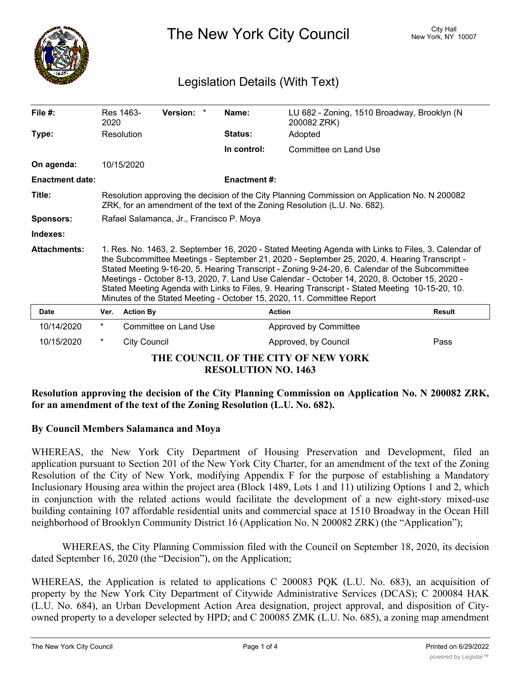

The New York City Council New York, NY 10007

# Legislation Details (With Text)

| File $#$ :                                                        | 2020                                                                                                                                                                                                                                                                                                                                                                                                                                                                                                                                                                                 | Res 1463-           | Version: *            |  | Name:               | LU 682 - Zoning, 1510 Broadway, Brooklyn (N<br>200082 ZRK) |               |  |  |
|-------------------------------------------------------------------|--------------------------------------------------------------------------------------------------------------------------------------------------------------------------------------------------------------------------------------------------------------------------------------------------------------------------------------------------------------------------------------------------------------------------------------------------------------------------------------------------------------------------------------------------------------------------------------|---------------------|-----------------------|--|---------------------|------------------------------------------------------------|---------------|--|--|
| Type:                                                             |                                                                                                                                                                                                                                                                                                                                                                                                                                                                                                                                                                                      | Resolution          |                       |  | Status:             | Adopted                                                    |               |  |  |
|                                                                   |                                                                                                                                                                                                                                                                                                                                                                                                                                                                                                                                                                                      |                     |                       |  | In control:         | Committee on Land Use                                      |               |  |  |
| On agenda:                                                        |                                                                                                                                                                                                                                                                                                                                                                                                                                                                                                                                                                                      | 10/15/2020          |                       |  |                     |                                                            |               |  |  |
| <b>Enactment date:</b>                                            |                                                                                                                                                                                                                                                                                                                                                                                                                                                                                                                                                                                      |                     |                       |  | <b>Enactment #:</b> |                                                            |               |  |  |
| Title:                                                            | Resolution approving the decision of the City Planning Commission on Application No. N 200082<br>ZRK, for an amendment of the text of the Zoning Resolution (L.U. No. 682).                                                                                                                                                                                                                                                                                                                                                                                                          |                     |                       |  |                     |                                                            |               |  |  |
| <b>Sponsors:</b>                                                  | Rafael Salamanca, Jr., Francisco P. Moya                                                                                                                                                                                                                                                                                                                                                                                                                                                                                                                                             |                     |                       |  |                     |                                                            |               |  |  |
| Indexes:                                                          |                                                                                                                                                                                                                                                                                                                                                                                                                                                                                                                                                                                      |                     |                       |  |                     |                                                            |               |  |  |
| <b>Attachments:</b>                                               | 1. Res. No. 1463, 2. September 16, 2020 - Stated Meeting Agenda with Links to Files, 3. Calendar of<br>the Subcommittee Meetings - September 21, 2020 - September 25, 2020, 4. Hearing Transcript -<br>Stated Meeting 9-16-20, 5. Hearing Transcript - Zoning 9-24-20, 6. Calendar of the Subcommittee<br>Meetings - October 8-13, 2020, 7. Land Use Calendar - October 14, 2020, 8. October 15, 2020 -<br>Stated Meeting Agenda with Links to Files, 9. Hearing Transcript - Stated Meeting 10-15-20, 10.<br>Minutes of the Stated Meeting - October 15, 2020, 11. Committee Report |                     |                       |  |                     |                                                            |               |  |  |
| <b>Date</b>                                                       | Ver.                                                                                                                                                                                                                                                                                                                                                                                                                                                                                                                                                                                 | <b>Action By</b>    |                       |  | <b>Action</b>       |                                                            | <b>Result</b> |  |  |
| 10/14/2020                                                        | $^{\star}$                                                                                                                                                                                                                                                                                                                                                                                                                                                                                                                                                                           |                     | Committee on Land Use |  |                     | Approved by Committee                                      |               |  |  |
| 10/15/2020                                                        | *                                                                                                                                                                                                                                                                                                                                                                                                                                                                                                                                                                                    | <b>City Council</b> |                       |  |                     | Approved, by Council                                       | Pass          |  |  |
| THE COUNCIL OF THE CITY OF NEW YORK<br><b>RESOLUTION NO. 1463</b> |                                                                                                                                                                                                                                                                                                                                                                                                                                                                                                                                                                                      |                     |                       |  |                     |                                                            |               |  |  |

# **Resolution approving the decision of the City Planning Commission on Application No. N 200082 ZRK, for an amendment of the text of the Zoning Resolution (L.U. No. 682).**

### **By Council Members Salamanca and Moya**

WHEREAS, the New York City Department of Housing Preservation and Development, filed an application pursuant to Section 201 of the New York City Charter, for an amendment of the text of the Zoning Resolution of the City of New York, modifying Appendix F for the purpose of establishing a Mandatory Inclusionary Housing area within the project area (Block 1489, Lots 1 and 11) utilizing Options 1 and 2, which in conjunction with the related actions would facilitate the development of a new eight-story mixed-use building containing 107 affordable residential units and commercial space at 1510 Broadway in the Ocean Hill neighborhood of Brooklyn Community District 16 (Application No. N 200082 ZRK) (the "Application");

WHEREAS, the City Planning Commission filed with the Council on September 18, 2020, its decision dated September 16, 2020 (the "Decision"), on the Application;

WHEREAS, the Application is related to applications C 200083 PQK (L.U. No. 683), an acquisition of property by the New York City Department of Citywide Administrative Services (DCAS); C 200084 HAK (L.U. No. 684), an Urban Development Action Area designation, project approval, and disposition of Cityowned property to a developer selected by HPD; and C 200085 ZMK (L.U. No. 685), a zoning map amendment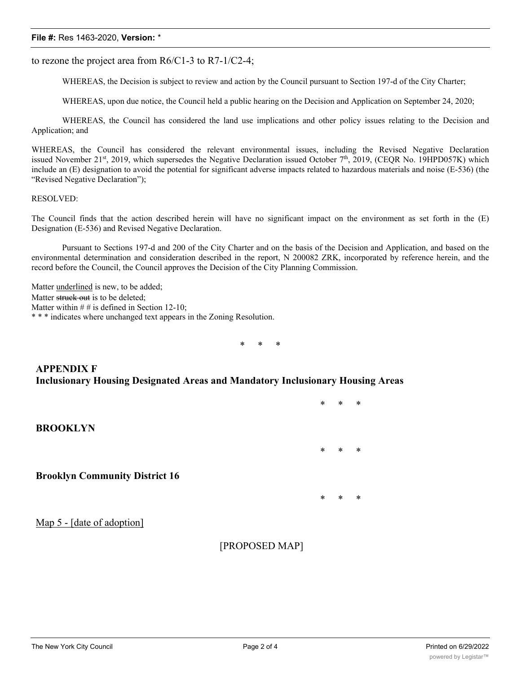#### **File #:** Res 1463-2020, **Version:** \*

to rezone the project area from  $R6/C1-3$  to  $R7-1/C2-4$ ;

WHEREAS, the Decision is subject to review and action by the Council pursuant to Section 197-d of the City Charter;

WHEREAS, upon due notice, the Council held a public hearing on the Decision and Application on September 24, 2020;

WHEREAS, the Council has considered the land use implications and other policy issues relating to the Decision and Application; and

WHEREAS, the Council has considered the relevant environmental issues, including the Revised Negative Declaration issued November 21st, 2019, which supersedes the Negative Declaration issued October 7<sup>th</sup>, 2019, (CEQR No. 19HPD057K) which include an (E) designation to avoid the potential for significant adverse impacts related to hazardous materials and noise (E-536) (the "Revised Negative Declaration");

#### RESOLVED:

The Council finds that the action described herein will have no significant impact on the environment as set forth in the (E) Designation (E-536) and Revised Negative Declaration.

Pursuant to Sections 197-d and 200 of the City Charter and on the basis of the Decision and Application, and based on the environmental determination and consideration described in the report, N 200082 ZRK, incorporated by reference herein, and the record before the Council, the Council approves the Decision of the City Planning Commission.

Matter underlined is new, to be added; Matter struck out is to be deleted; Matter within  $# #$  is defined in Section 12-10; \* \* \* indicates where unchanged text appears in the Zoning Resolution.

\* \* \*

### **APPENDIX F Inclusionary Housing Designated Areas and Mandatory Inclusionary Housing Areas**

|                                       | $\ast$ | $\ast$ | $\ast$ |
|---------------------------------------|--------|--------|--------|
| <b>BROOKLYN</b>                       |        |        |        |
|                                       | $\ast$ | $\ast$ | $\ast$ |
| <b>Brooklyn Community District 16</b> |        |        |        |
|                                       | $\ast$ | $\ast$ | $\ast$ |
| Map 5 - [date of adoption]            |        |        |        |

[PROPOSED MAP]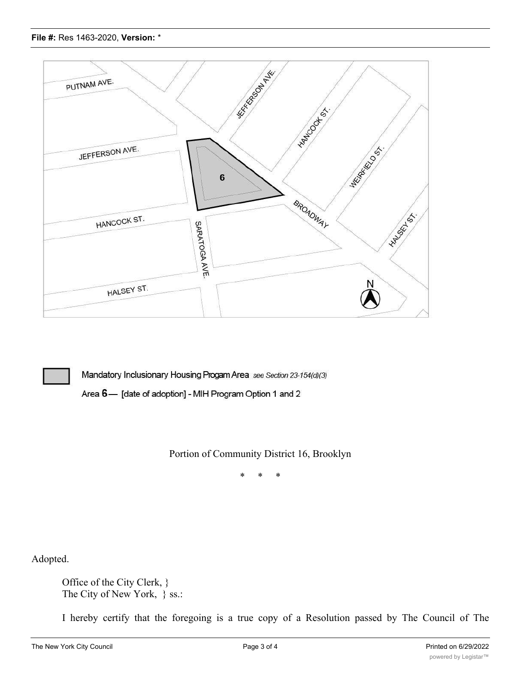



Mandatory Inclusionary Housing Progam Area see Section 23-154(d)(3)

Area 6- [date of adoption] - MIH Program Option 1 and 2

Portion of Community District 16, Brooklyn

\* \* \*

Adopted.

Office of the City Clerk, } The City of New York,  $\}$  ss.:

I hereby certify that the foregoing is a true copy of a Resolution passed by The Council of The